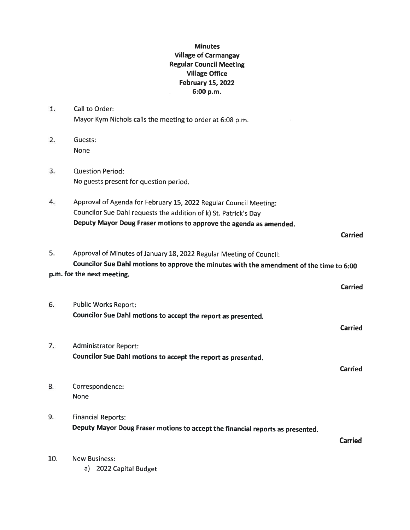## **Minutes** Village of Carmangay Regular Council Meeting Village Office February 15, 2022 6:00 p.m.

- 1. Call to Order: Mayor Kym Nichols calls the meeting to order at 6:08 p.m.
- 2. Guests: None
- 3. Question Period: No guests present for question period.
- 4. Approval of Agenda for February 15, <sup>2022</sup> Regular Council Meeting: Councilor Sue DahI requests the addition of k) St. Patrick's Day Deputy Mayor Doug Fraser motions to approve the agenda as amended.
- 5. Approval of Minutes of January 18, <sup>2022</sup> Regular Meeting of Council: Councilor Sue Dahi motions to approve the minutes with the amendment of the time to 6:00 p.m. for the next meeting. Carried
- 6. Public Works Report: Councilor Sue Dahi motions to accept the report as presented.
- 7. Administrator Report: Councilor Sue Dahi motions to accept the report as presented.
	- Carried

Carried

Carried

- 8. Correspondence: None
- 9. Financial Reports: Deputy Mayor Doug Fraser motions to accept the financial reports as presented.

Carried

- 10. New Business:
	- a) 2022 Capital Budget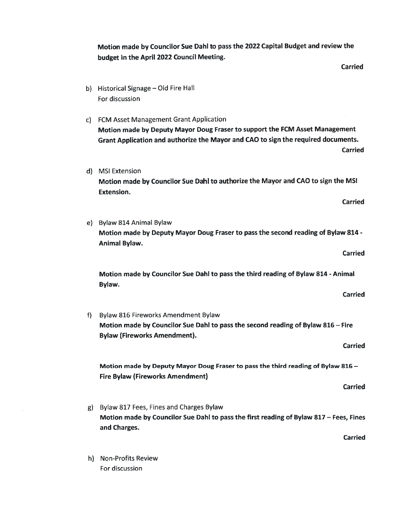Motion made by Councilor Sue Dahi to pass the 2022 Capital Budget and review the budget in the April 2022 Council Meeting.

Carried

Carried

Carried

**Carried** 

- b) Historical Signage—Old Fire Hall For discussion
- c) FCM Asset Management Grant Application Motion made by Deputy Mayor Doug Fraser to support the FCM Asset Management Grant Application and authorize the Mayor and CAO to sign the required documents. Carried
- d) MSl Extension Motion made by Councilor Sue DahI to authorize the Mayor and CAO to sign the MSl Extension.
- e) Bylaw 814 Animal Bylaw Motion made by Deputy Mayor Doug Fraser to pass the second reading of Bylaw 814 - Animal Bylaw.

Motion made by Councilor Sue DahI to pass the third reading of Bylaw 814 - Animal Bylaw.

f) Bylaw 816 Fireworks Amendment Bylaw Motion made by Councilor Sue Dahl to pass the second reading of Bylaw 816 — Fire Bylaw (Fireworks Amendment).

Motion made by Deputy Mayor Doug Fraser to pass the third reading of Bylaw 8i6 — Fire Bylaw (Fireworks Amendment)

Carried

Carried

g) Bylaw 817 Fees, Fines and Charges Bylaw Motion made by Councilor Sue Dahl to pass the first reading of Bylaw 817 — Fees, Fines and Charges.

Carried

h) Non-Profits Review For discussion